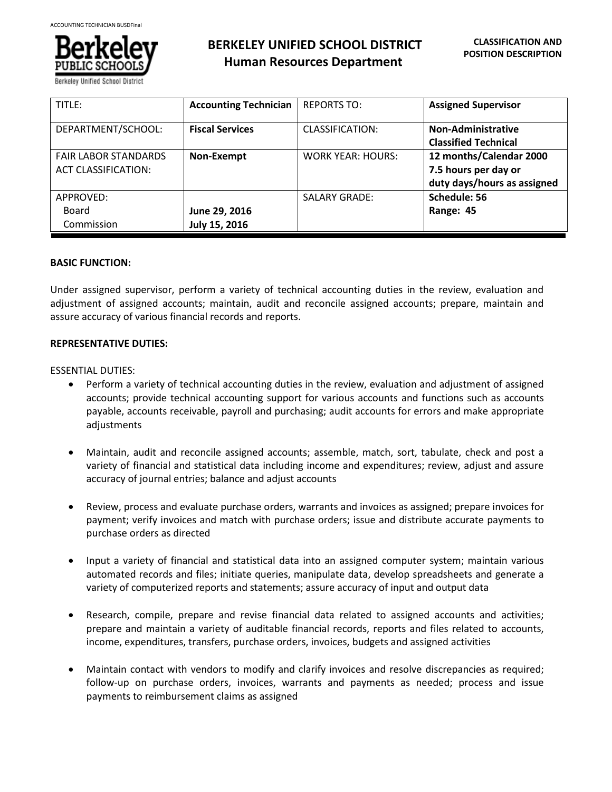

Berkeley Unified School Dis

# **BERKELEY UNIFIED SCHOOL DISTRICT Human Resources Department**

| TITLE:                                                    | <b>Accounting Technician</b>   | <b>REPORTS TO:</b>       | <b>Assigned Supervisor</b>                                                     |
|-----------------------------------------------------------|--------------------------------|--------------------------|--------------------------------------------------------------------------------|
| DEPARTMENT/SCHOOL:                                        | <b>Fiscal Services</b>         | CLASSIFICATION:          | <b>Non-Administrative</b><br><b>Classified Technical</b>                       |
| <b>FAIR LABOR STANDARDS</b><br><b>ACT CLASSIFICATION:</b> | Non-Exempt                     | <b>WORK YEAR: HOURS:</b> | 12 months/Calendar 2000<br>7.5 hours per day or<br>duty days/hours as assigned |
| APPROVED:<br>Board<br>Commission                          | June 29, 2016<br>July 15, 2016 | <b>SALARY GRADE:</b>     | Schedule: 56<br>Range: 45                                                      |

### **BASIC FUNCTION:**

Under assigned supervisor, perform a variety of technical accounting duties in the review, evaluation and adjustment of assigned accounts; maintain, audit and reconcile assigned accounts; prepare, maintain and assure accuracy of various financial records and reports.

### **REPRESENTATIVE DUTIES:**

### ESSENTIAL DUTIES:

- Perform a variety of technical accounting duties in the review, evaluation and adjustment of assigned accounts; provide technical accounting support for various accounts and functions such as accounts payable, accounts receivable, payroll and purchasing; audit accounts for errors and make appropriate adjustments
- Maintain, audit and reconcile assigned accounts; assemble, match, sort, tabulate, check and post a variety of financial and statistical data including income and expenditures; review, adjust and assure accuracy of journal entries; balance and adjust accounts
- Review, process and evaluate purchase orders, warrants and invoices as assigned; prepare invoices for payment; verify invoices and match with purchase orders; issue and distribute accurate payments to purchase orders as directed
- Input a variety of financial and statistical data into an assigned computer system; maintain various automated records and files; initiate queries, manipulate data, develop spreadsheets and generate a variety of computerized reports and statements; assure accuracy of input and output data
- Research, compile, prepare and revise financial data related to assigned accounts and activities; prepare and maintain a variety of auditable financial records, reports and files related to accounts, income, expenditures, transfers, purchase orders, invoices, budgets and assigned activities
- Maintain contact with vendors to modify and clarify invoices and resolve discrepancies as required; follow-up on purchase orders, invoices, warrants and payments as needed; process and issue payments to reimbursement claims as assigned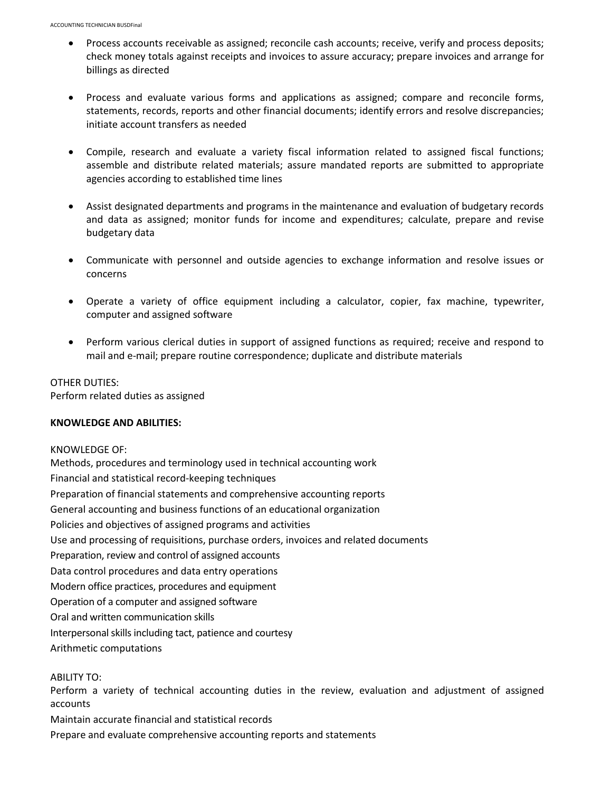- Process accounts receivable as assigned; reconcile cash accounts; receive, verify and process deposits; check money totals against receipts and invoices to assure accuracy; prepare invoices and arrange for billings as directed
- Process and evaluate various forms and applications as assigned; compare and reconcile forms, statements, records, reports and other financial documents; identify errors and resolve discrepancies; initiate account transfers as needed
- Compile, research and evaluate a variety fiscal information related to assigned fiscal functions; assemble and distribute related materials; assure mandated reports are submitted to appropriate agencies according to established time lines
- Assist designated departments and programs in the maintenance and evaluation of budgetary records and data as assigned; monitor funds for income and expenditures; calculate, prepare and revise budgetary data
- Communicate with personnel and outside agencies to exchange information and resolve issues or concerns
- Operate a variety of office equipment including a calculator, copier, fax machine, typewriter, computer and assigned software
- Perform various clerical duties in support of assigned functions as required; receive and respond to mail and e-mail; prepare routine correspondence; duplicate and distribute materials

OTHER DUTIES: Perform related duties as assigned

#### **KNOWLEDGE AND ABILITIES:**

KNOWLEDGE OF: Methods, procedures and terminology used in technical accounting work Financial and statistical record-keeping techniques Preparation of financial statements and comprehensive accounting reports General accounting and business functions of an educational organization Policies and objectives of assigned programs and activities Use and processing of requisitions, purchase orders, invoices and related documents Preparation, review and control of assigned accounts Data control procedures and data entry operations Modern office practices, procedures and equipment Operation of a computer and assigned software Oral and written communication skills Interpersonal skills including tact, patience and courtesy Arithmetic computations

ABILITY TO:

Perform a variety of technical accounting duties in the review, evaluation and adjustment of assigned accounts

Maintain accurate financial and statistical records

Prepare and evaluate comprehensive accounting reports and statements